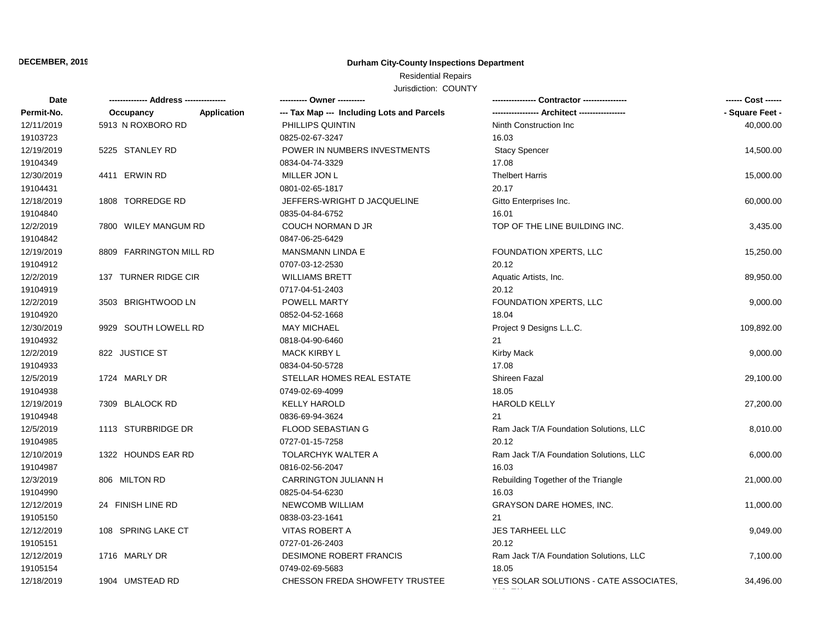### **DECEMBER, 2019**

## **Durham City-County Inspections Department**

# Residential Repairs

Jurisdiction: COUNTY

| Date       |                          | ---------- Owner ----------                |                                        | ------ Cost ------ |
|------------|--------------------------|--------------------------------------------|----------------------------------------|--------------------|
| Permit-No. | Application<br>Occupancy | --- Tax Map --- Including Lots and Parcels |                                        | - Square Feet -    |
| 12/11/2019 | 5913 N ROXBORO RD        | PHILLIPS QUINTIN                           | Ninth Construction Inc.                | 40,000.00          |
| 19103723   |                          | 0825-02-67-3247                            | 16.03                                  |                    |
| 12/19/2019 | 5225 STANLEY RD          | POWER IN NUMBERS INVESTMENTS               | <b>Stacy Spencer</b>                   | 14,500.00          |
| 19104349   |                          | 0834-04-74-3329                            | 17.08                                  |                    |
| 12/30/2019 | 4411 ERWIN RD            | MILLER JON L                               | <b>Thelbert Harris</b>                 | 15,000.00          |
| 19104431   |                          | 0801-02-65-1817                            | 20.17                                  |                    |
| 12/18/2019 | 1808 TORREDGE RD         | JEFFERS-WRIGHT D JACQUELINE                | Gitto Enterprises Inc.                 | 60,000.00          |
| 19104840   |                          | 0835-04-84-6752                            | 16.01                                  |                    |
| 12/2/2019  | 7800 WILEY MANGUM RD     | COUCH NORMAN D JR                          | TOP OF THE LINE BUILDING INC.          | 3,435.00           |
| 19104842   |                          | 0847-06-25-6429                            |                                        |                    |
| 12/19/2019 | 8809 FARRINGTON MILL RD  | <b>MANSMANN LINDA E</b>                    | FOUNDATION XPERTS, LLC                 | 15,250.00          |
| 19104912   |                          | 0707-03-12-2530                            | 20.12                                  |                    |
| 12/2/2019  | 137 TURNER RIDGE CIR     | <b>WILLIAMS BRETT</b>                      | Aquatic Artists, Inc.                  | 89,950.00          |
| 19104919   |                          | 0717-04-51-2403                            | 20.12                                  |                    |
| 12/2/2019  | 3503 BRIGHTWOOD LN       | POWELL MARTY                               | FOUNDATION XPERTS, LLC                 | 9,000.00           |
| 19104920   |                          | 0852-04-52-1668                            | 18.04                                  |                    |
| 12/30/2019 | 9929 SOUTH LOWELL RD     | <b>MAY MICHAEL</b>                         | Project 9 Designs L.L.C.               | 109,892.00         |
| 19104932   |                          | 0818-04-90-6460                            | 21                                     |                    |
| 12/2/2019  | 822 JUSTICE ST           | <b>MACK KIRBY L</b>                        | Kirby Mack                             | 9,000.00           |
| 19104933   |                          | 0834-04-50-5728                            | 17.08                                  |                    |
| 12/5/2019  | 1724 MARLY DR            | STELLAR HOMES REAL ESTATE                  | Shireen Fazal                          | 29,100.00          |
| 19104938   |                          | 0749-02-69-4099                            | 18.05                                  |                    |
| 12/19/2019 | 7309 BLALOCK RD          | <b>KELLY HAROLD</b>                        | <b>HAROLD KELLY</b>                    | 27,200.00          |
| 19104948   |                          | 0836-69-94-3624                            | 21                                     |                    |
| 12/5/2019  | 1113 STURBRIDGE DR       | <b>FLOOD SEBASTIAN G</b>                   | Ram Jack T/A Foundation Solutions, LLC | 8,010.00           |
| 19104985   |                          | 0727-01-15-7258                            | 20.12                                  |                    |
| 12/10/2019 | 1322 HOUNDS EAR RD       | TOLARCHYK WALTER A                         | Ram Jack T/A Foundation Solutions, LLC | 6,000.00           |
| 19104987   |                          | 0816-02-56-2047                            | 16.03                                  |                    |
| 12/3/2019  | 806 MILTON RD            | <b>CARRINGTON JULIANN H</b>                | Rebuilding Together of the Triangle    | 21,000.00          |
| 19104990   |                          | 0825-04-54-6230                            | 16.03                                  |                    |
| 12/12/2019 | 24 FINISH LINE RD        | NEWCOMB WILLIAM                            | <b>GRAYSON DARE HOMES, INC.</b>        | 11,000.00          |
| 19105150   |                          | 0838-03-23-1641                            | 21                                     |                    |
| 12/12/2019 | 108 SPRING LAKE CT       | VITAS ROBERT A                             | JES TARHEEL LLC                        | 9,049.00           |
| 19105151   |                          | 0727-01-26-2403                            | 20.12                                  |                    |
| 12/12/2019 | 1716 MARLY DR            | DESIMONE ROBERT FRANCIS                    | Ram Jack T/A Foundation Solutions, LLC | 7,100.00           |
| 19105154   |                          | 0749-02-69-5683                            | 18.05                                  |                    |
| 12/18/2019 | 1904 UMSTEAD RD          | CHESSON FREDA SHOWFETY TRUSTEE             | YES SOLAR SOLUTIONS - CATE ASSOCIATES, | 34,496.00          |
|            |                          |                                            |                                        |                    |